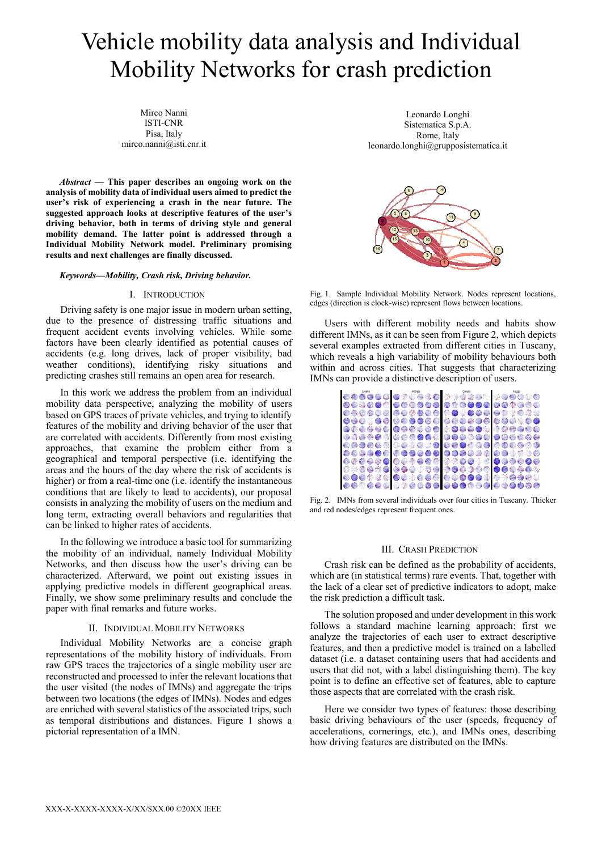# Vehicle mobility data analysis and Individual Mobility Networks for crash prediction

Mirco Nanni ISTI-CNR Pisa, Italy mirco.nanni@isti.cnr.it

*Abstract* **— This paper describes an ongoing work on the analysis of mobility data of individual users aimed to predict the user's risk of experiencing a crash in the near future. The suggested approach looks at descriptive features of the user's driving behavior, both in terms of driving style and general mobility demand. The latter point is addressed through a Individual Mobility Network model. Preliminary promising results and next challenges are finally discussed.**

#### *Keywords—Mobility, Crash risk, Driving behavior.*

## I. INTRODUCTION

Driving safety is one major issue in modern urban setting, due to the presence of distressing traffic situations and frequent accident events involving vehicles. While some factors have been clearly identified as potential causes of accidents (e.g. long drives, lack of proper visibility, bad weather conditions), identifying risky situations and predicting crashes still remains an open area for research.

In this work we address the problem from an individual mobility data perspective, analyzing the mobility of users based on GPS traces of private vehicles, and trying to identify features of the mobility and driving behavior of the user that are correlated with accidents. Differently from most existing approaches, that examine the problem either from a geographical and temporal perspective (i.e. identifying the areas and the hours of the day where the risk of accidents is higher) or from a real-time one *(i.e. identify the instantaneous* conditions that are likely to lead to accidents), our proposal consists in analyzing the mobility of users on the medium and long term, extracting overall behaviors and regularities that can be linked to higher rates of accidents.

In the following we introduce a basic tool for summarizing the mobility of an individual, namely Individual Mobility Networks, and then discuss how the user's driving can be characterized. Afterward, we point out existing issues in applying predictive models in different geographical areas. Finally, we show some preliminary results and conclude the paper with final remarks and future works.

#### II. INDIVIDUAL MOBILITY NETWORKS

Individual Mobility Networks are a concise graph representations of the mobility history of individuals. From raw GPS traces the trajectories of a single mobility user are reconstructed and processed to infer the relevant locations that the user visited (the nodes of IMNs) and aggregate the trips between two locations (the edges of IMNs). Nodes and edges are enriched with several statistics of the associated trips, such as temporal distributions and distances. Figure 1 shows a pictorial representation of a IMN.

Leonardo Longhi Sistematica S.p.A. Rome, Italy leonardo.longhi@grupposistematica.it



Fig. 1. Sample Individual Mobility Network. Nodes represent locations, edges (direction is clock-wise) represent flows between locations.

Users with different mobility needs and habits show different IMNs, as it can be seen from Figure 2, which depicts several examples extracted from different cities in Tuscany, which reveals a high variability of mobility behaviours both within and across cities. That suggests that characterizing



Fig. 2. IMNs from several individuals over four cities in Tuscany. Thicker and red nodes/edges represent frequent ones.

## III. CRASH PREDICTION

Crash risk can be defined as the probability of accidents, which are (in statistical terms) rare events. That, together with the lack of a clear set of predictive indicators to adopt, make the risk prediction a difficult task.

The solution proposed and under development in this work follows a standard machine learning approach: first we analyze the trajectories of each user to extract descriptive features, and then a predictive model is trained on a labelled dataset (i.e. a dataset containing users that had accidents and users that did not, with a label distinguishing them). The key point is to define an effective set of features, able to capture those aspects that are correlated with the crash risk.

Here we consider two types of features: those describing basic driving behaviours of the user (speeds, frequency of accelerations, cornerings, etc.), and IMNs ones, describing how driving features are distributed on the IMNs.